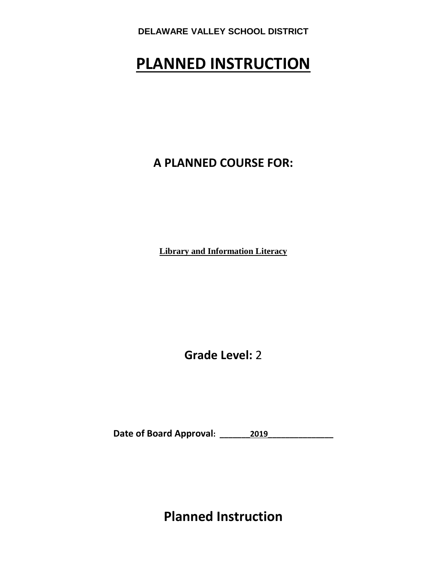# **PLANNED INSTRUCTION**

**A PLANNED COURSE FOR:**

**Library and Information Literacy**

**Grade Level:** 2

**Date of Board Approval: \_\_\_\_\_\_\_2019\_\_\_\_\_\_\_\_\_\_\_\_\_\_\_**

**Planned Instruction**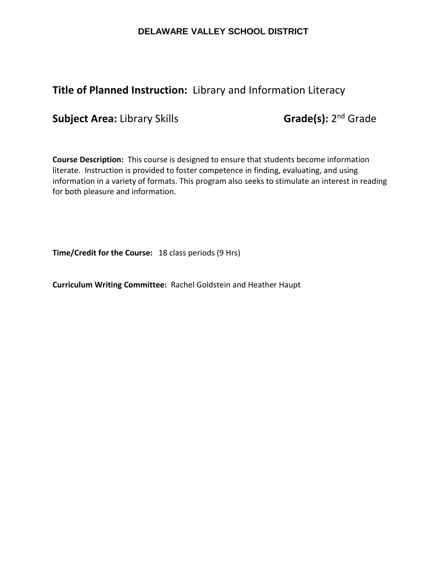## **Title of Planned Instruction:** Library and Information Literacy

**Subject Area:** Library Skills **Grade(s):** 2<sup>nd</sup> Grade

**Course Description:** This course is designed to ensure that students become information literate. Instruction is provided to foster competence in finding, evaluating, and using information in a variety of formats. This program also seeks to stimulate an interest in reading for both pleasure and information.

**Time/Credit for the Course:** 18 class periods (9 Hrs)

**Curriculum Writing Committee:** Rachel Goldstein and Heather Haupt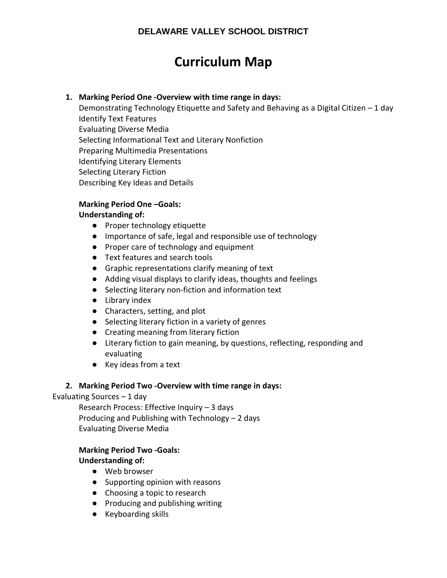## **Curriculum Map**

### **1. Marking Period One -Overview with time range in days:**

Demonstrating Technology Etiquette and Safety and Behaving as a Digital Citizen – 1 day Identify Text Features Evaluating Diverse Media Selecting Informational Text and Literary Nonfiction Preparing Multimedia Presentations Identifying Literary Elements Selecting Literary Fiction Describing Key Ideas and Details

### **Marking Period One –Goals:**

## **Understanding of:**

- Proper technology etiquette
- Importance of safe, legal and responsible use of technology
- Proper care of technology and equipment
- Text features and search tools
- Graphic representations clarify meaning of text
- Adding visual displays to clarify ideas, thoughts and feelings
- Selecting literary non-fiction and information text
- Library index
- Characters, setting, and plot
- Selecting literary fiction in a variety of genres
- Creating meaning from literary fiction
- Literary fiction to gain meaning, by questions, reflecting, responding and evaluating
- Key ideas from a text

## **2. Marking Period Two -Overview with time range in days:**

## Evaluating Sources – 1 day

Research Process: Effective Inquiry – 3 days Producing and Publishing with Technology – 2 days Evaluating Diverse Media

## **Marking Period Two -Goals:**

## **Understanding of:**

- Web browser
- Supporting opinion with reasons
- Choosing a topic to research
- Producing and publishing writing
- Keyboarding skills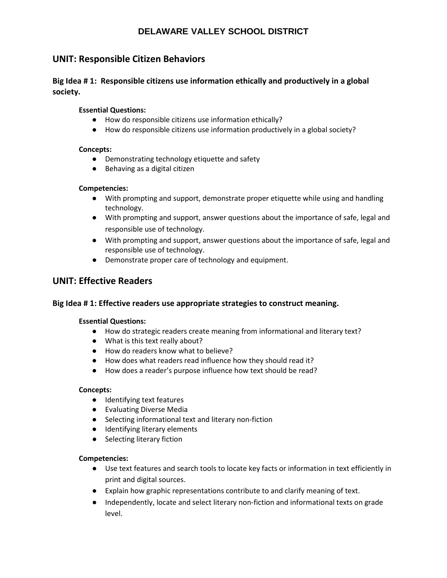## **UNIT: Responsible Citizen Behaviors**

## **Big Idea # 1: Responsible citizens use information ethically and productively in a global society.**

#### **Essential Questions:**

- How do responsible citizens use information ethically?
- How do responsible citizens use information productively in a global society?

#### **Concepts:**

- Demonstrating technology etiquette and safety
- Behaving as a digital citizen

#### **Competencies:**

- With prompting and support, demonstrate proper etiquette while using and handling technology.
- With prompting and support, answer questions about the importance of safe, legal and responsible use of technology.
- With prompting and support, answer questions about the importance of safe, legal and responsible use of technology.
- Demonstrate proper care of technology and equipment.

## **UNIT: Effective Readers**

#### **Big Idea # 1: Effective readers use appropriate strategies to construct meaning.**

#### **Essential Questions:**

- How do strategic readers create meaning from informational and literary text?
- What is this text really about?
- How do readers know what to believe?
- How does what readers read influence how they should read it?
- How does a reader's purpose influence how text should be read?

#### **Concepts:**

- Identifying text features
- Evaluating Diverse Media
- Selecting informational text and literary non-fiction
- Identifying literary elements
- Selecting literary fiction

#### **Competencies:**

- Use text features and search tools to locate key facts or information in text efficiently in print and digital sources.
- Explain how graphic representations contribute to and clarify meaning of text.
- Independently, locate and select literary non-fiction and informational texts on grade level.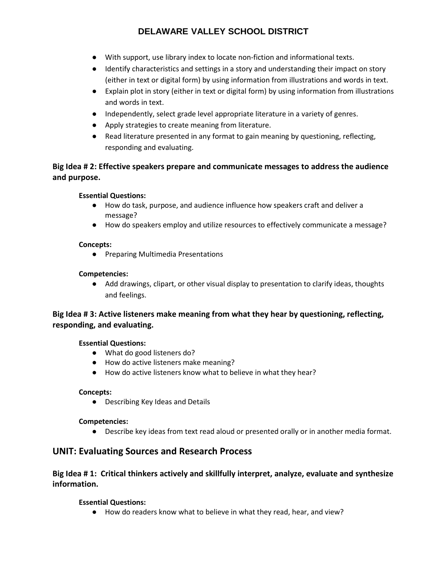- With support, use library index to locate non-fiction and informational texts.
- Identify characteristics and settings in a story and understanding their impact on story (either in text or digital form) by using information from illustrations and words in text.
- Explain plot in story (either in text or digital form) by using information from illustrations and words in text.
- Independently, select grade level appropriate literature in a variety of genres.
- Apply strategies to create meaning from literature.
- Read literature presented in any format to gain meaning by questioning, reflecting, responding and evaluating.

## **Big Idea # 2: Effective speakers prepare and communicate messages to address the audience and purpose.**

#### **Essential Questions:**

- How do task, purpose, and audience influence how speakers craft and deliver a message?
- How do speakers employ and utilize resources to effectively communicate a message?

#### **Concepts:**

● Preparing Multimedia Presentations

#### **Competencies:**

● Add drawings, clipart, or other visual display to presentation to clarify ideas, thoughts and feelings.

## **Big Idea # 3: Active listeners make meaning from what they hear by questioning, reflecting, responding, and evaluating.**

#### **Essential Questions:**

- What do good listeners do?
- How do active listeners make meaning?
- How do active listeners know what to believe in what they hear?

#### **Concepts:**

● Describing Key Ideas and Details

#### **Competencies:**

● Describe key ideas from text read aloud or presented orally or in another media format.

## **UNIT: Evaluating Sources and Research Process**

### **Big Idea # 1: Critical thinkers actively and skillfully interpret, analyze, evaluate and synthesize information.**

#### **Essential Questions:**

● How do readers know what to believe in what they read, hear, and view?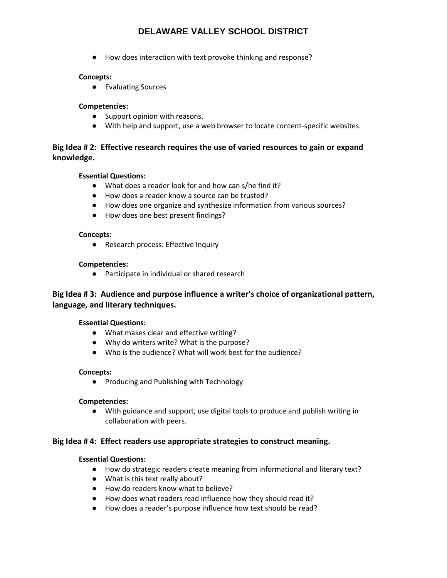● How does interaction with text provoke thinking and response?

#### **Concepts:**

● Evaluating Sources

#### **Competencies:**

- Support opinion with reasons.
- With help and support, use a web browser to locate content-specific websites.

### **Big Idea # 2: Effective research requires the use of varied resources to gain or expand knowledge.**

#### **Essential Questions:**

- What does a reader look for and how can s/he find it?
- How does a reader know a source can be trusted?
- How does one organize and synthesize information from various sources?
- How does one best present findings?

#### **Concepts:**

● Research process: Effective Inquiry

#### **Competencies:**

● Participate in individual or shared research

### **Big Idea # 3: Audience and purpose influence a writer's choice of organizational pattern, language, and literary techniques.**

#### **Essential Questions:**

- What makes clear and effective writing?
- Why do writers write? What is the purpose?
- Who is the audience? What will work best for the audience?

#### **Concepts:**

● Producing and Publishing with Technology

#### **Competencies:**

● With guidance and support, use digital tools to produce and publish writing in collaboration with peers.

#### **Big Idea # 4: Effect readers use appropriate strategies to construct meaning.**

#### **Essential Questions:**

- How do strategic readers create meaning from informational and literary text?
- What is this text really about?
- How do readers know what to believe?
- How does what readers read influence how they should read it?
- How does a reader's purpose influence how text should be read?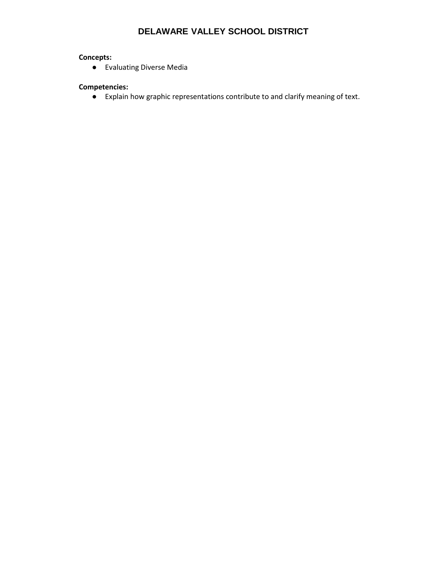### **Concepts:**

● Evaluating Diverse Media

#### **Competencies:**

● Explain how graphic representations contribute to and clarify meaning of text.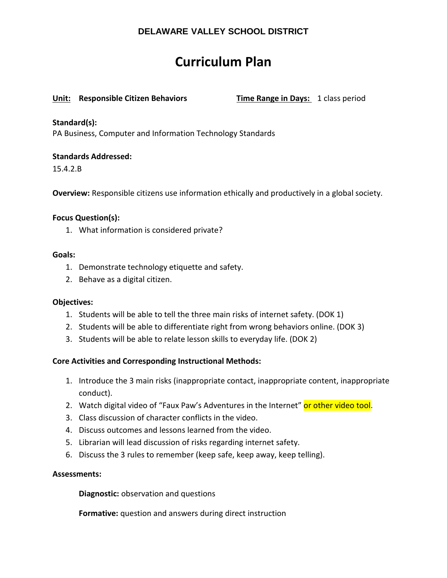## **Curriculum Plan**

#### **Unit: Responsible Citizen Behaviors Time Range in Days:** 1 class period

#### **Standard(s):**

PA Business, Computer and Information Technology Standards

#### **Standards Addressed:**

15.4.2.B

**Overview:** Responsible citizens use information ethically and productively in a global society.

#### **Focus Question(s):**

1. What information is considered private?

#### **Goals:**

- 1. Demonstrate technology etiquette and safety.
- 2. Behave as a digital citizen.

#### **Objectives:**

- 1. Students will be able to tell the three main risks of internet safety. (DOK 1)
- 2. Students will be able to differentiate right from wrong behaviors online. (DOK 3)
- 3. Students will be able to relate lesson skills to everyday life. (DOK 2)

#### **Core Activities and Corresponding Instructional Methods:**

- 1. Introduce the 3 main risks (inappropriate contact, inappropriate content, inappropriate conduct).
- 2. Watch digital video of "Faux Paw's Adventures in the Internet" or other video tool.
- 3. Class discussion of character conflicts in the video.
- 4. Discuss outcomes and lessons learned from the video.
- 5. Librarian will lead discussion of risks regarding internet safety.
- 6. Discuss the 3 rules to remember (keep safe, keep away, keep telling).

#### **Assessments:**

**Diagnostic:** observation and questions

**Formative:** question and answers during direct instruction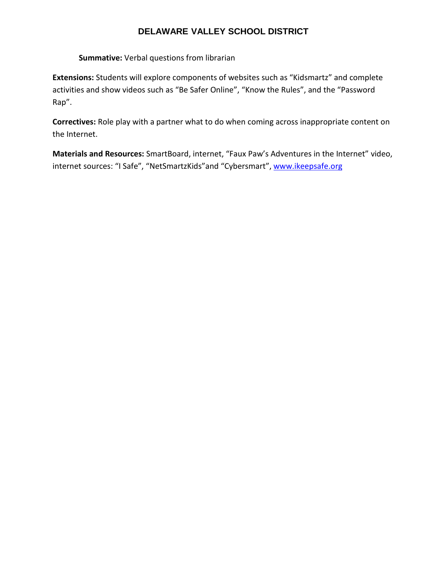**Summative:** Verbal questions from librarian

**Extensions:** Students will explore components of websites such as "Kidsmartz" and complete activities and show videos such as "Be Safer Online", "Know the Rules", and the "Password Rap".

**Correctives:** Role play with a partner what to do when coming across inappropriate content on the Internet.

**Materials and Resources:** SmartBoard, internet, "Faux Paw's Adventures in the Internet" video, internet sources: "I Safe", "NetSmartzKids" and "Cybersmart"[, www.ikeepsafe.org](http://www.ikeepsafe.org/)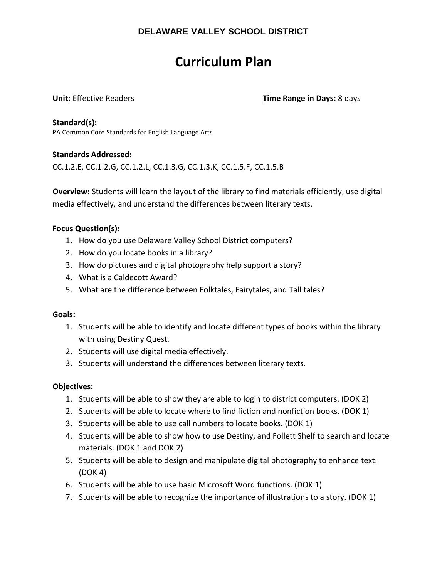## **Curriculum Plan**

**Unit:** Effective Readers **Time Range in Days:** 8 days

**Standard(s):**  PA Common Core Standards for English Language Arts

### **Standards Addressed:**

CC.1.2.E, CC.1.2.G, CC.1.2.L, CC.1.3.G, CC.1.3.K, CC.1.5.F, CC.1.5.B

**Overview:** Students will learn the layout of the library to find materials efficiently, use digital media effectively, and understand the differences between literary texts.

### **Focus Question(s):**

- 1. How do you use Delaware Valley School District computers?
- 2. How do you locate books in a library?
- 3. How do pictures and digital photography help support a story?
- 4. What is a Caldecott Award?
- 5. What are the difference between Folktales, Fairytales, and Tall tales?

#### **Goals:**

- 1. Students will be able to identify and locate different types of books within the library with using Destiny Quest.
- 2. Students will use digital media effectively.
- 3. Students will understand the differences between literary texts.

#### **Objectives:**

- 1. Students will be able to show they are able to login to district computers. (DOK 2)
- 2. Students will be able to locate where to find fiction and nonfiction books. (DOK 1)
- 3. Students will be able to use call numbers to locate books. (DOK 1)
- 4. Students will be able to show how to use Destiny, and Follett Shelf to search and locate materials. (DOK 1 and DOK 2)
- 5. Students will be able to design and manipulate digital photography to enhance text. (DOK 4)
- 6. Students will be able to use basic Microsoft Word functions. (DOK 1)
- 7. Students will be able to recognize the importance of illustrations to a story. (DOK 1)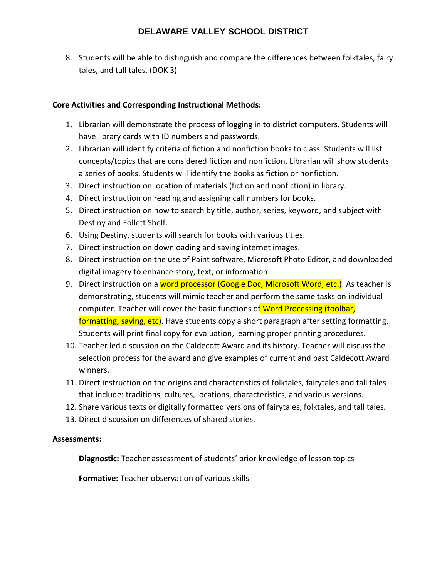8. Students will be able to distinguish and compare the differences between folktales, fairy tales, and tall tales. (DOK 3)

## **Core Activities and Corresponding Instructional Methods:**

- 1. Librarian will demonstrate the process of logging in to district computers. Students will have library cards with ID numbers and passwords.
- 2. Librarian will identify criteria of fiction and nonfiction books to class. Students will list concepts/topics that are considered fiction and nonfiction. Librarian will show students a series of books. Students will identify the books as fiction or nonfiction.
- 3. Direct instruction on location of materials (fiction and nonfiction) in library.
- 4. Direct instruction on reading and assigning call numbers for books.
- 5. Direct instruction on how to search by title, author, series, keyword, and subject with Destiny and Follett Shelf.
- 6. Using Destiny, students will search for books with various titles.
- 7. Direct instruction on downloading and saving internet images.
- 8. Direct instruction on the use of Paint software, Microsoft Photo Editor, and downloaded digital imagery to enhance story, text, or information.
- 9. Direct instruction on a word processor (Google Doc, Microsoft Word, etc.). As teacher is demonstrating, students will mimic teacher and perform the same tasks on individual computer. Teacher will cover the basic functions of Word Processing (toolbar, formatting, saving, etc). Have students copy a short paragraph after setting formatting. Students will print final copy for evaluation, learning proper printing procedures.
- 10. Teacher led discussion on the Caldecott Award and its history. Teacher will discuss the selection process for the award and give examples of current and past Caldecott Award winners.
- 11. Direct instruction on the origins and characteristics of folktales, fairytales and tall tales that include: traditions, cultures, locations, characteristics, and various versions.
- 12. Share various texts or digitally formatted versions of fairytales, folktales, and tall tales.
- 13. Direct discussion on differences of shared stories.

## **Assessments:**

**Diagnostic:** Teacher assessment of students' prior knowledge of lesson topics

**Formative:** Teacher observation of various skills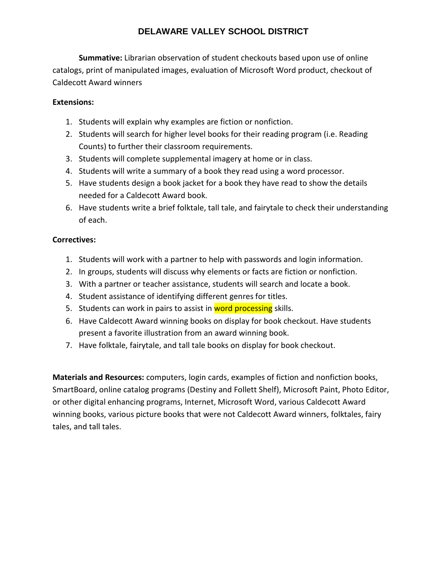**Summative:** Librarian observation of student checkouts based upon use of online catalogs, print of manipulated images, evaluation of Microsoft Word product, checkout of Caldecott Award winners

## **Extensions:**

- 1. Students will explain why examples are fiction or nonfiction.
- 2. Students will search for higher level books for their reading program (i.e. Reading Counts) to further their classroom requirements.
- 3. Students will complete supplemental imagery at home or in class.
- 4. Students will write a summary of a book they read using a word processor.
- 5. Have students design a book jacket for a book they have read to show the details needed for a Caldecott Award book.
- 6. Have students write a brief folktale, tall tale, and fairytale to check their understanding of each.

## **Correctives:**

- 1. Students will work with a partner to help with passwords and login information.
- 2. In groups, students will discuss why elements or facts are fiction or nonfiction.
- 3. With a partner or teacher assistance, students will search and locate a book.
- 4. Student assistance of identifying different genres for titles.
- 5. Students can work in pairs to assist in word processing skills.
- 6. Have Caldecott Award winning books on display for book checkout. Have students present a favorite illustration from an award winning book.
- 7. Have folktale, fairytale, and tall tale books on display for book checkout.

**Materials and Resources:** computers, login cards, examples of fiction and nonfiction books, SmartBoard, online catalog programs (Destiny and Follett Shelf), Microsoft Paint, Photo Editor, or other digital enhancing programs, Internet, Microsoft Word, various Caldecott Award winning books, various picture books that were not Caldecott Award winners, folktales, fairy tales, and tall tales.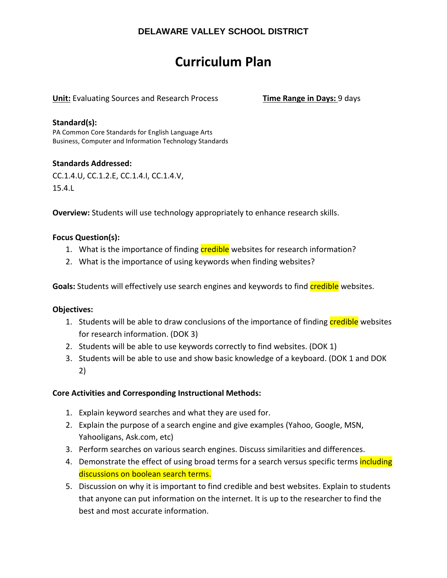## **Curriculum Plan**

**Unit:** Evaluating Sources and Research Process **Time Range in Days:** 9 days

#### **Standard(s):**

PA Common Core Standards for English Language Arts Business, Computer and Information Technology Standards

### **Standards Addressed:**

CC.1.4.U, CC.1.2.E, CC.1.4.I, CC.1.4.V, 15.4.L

**Overview:** Students will use technology appropriately to enhance research skills.

### **Focus Question(s):**

- 1. What is the importance of finding credible websites for research information?
- 2. What is the importance of using keywords when finding websites?

**Goals:** Students will effectively use search engines and keywords to find credible websites.

#### **Objectives:**

- 1. Students will be able to draw conclusions of the importance of finding credible websites for research information. (DOK 3)
- 2. Students will be able to use keywords correctly to find websites. (DOK 1)
- 3. Students will be able to use and show basic knowledge of a keyboard. (DOK 1 and DOK 2)

#### **Core Activities and Corresponding Instructional Methods:**

- 1. Explain keyword searches and what they are used for.
- 2. Explain the purpose of a search engine and give examples (Yahoo, Google, MSN, Yahooligans, Ask.com, etc)
- 3. Perform searches on various search engines. Discuss similarities and differences.
- 4. Demonstrate the effect of using broad terms for a search versus specific terms including discussions on boolean search terms.
- 5. Discussion on why it is important to find credible and best websites. Explain to students that anyone can put information on the internet. It is up to the researcher to find the best and most accurate information.